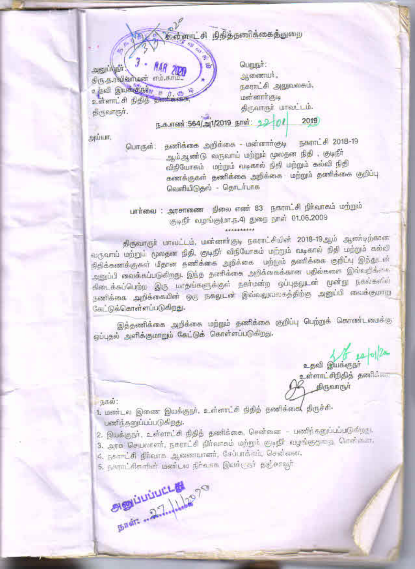# கர்ளாட்சி நிதித்தணிக்கைத்துறை

**Sustainability** MAR திரு.த.ரவிவர்டின் எம்.காப் உதவி இயக்குநாது உள்ளாட்சி நிதித திருவாருர்.

பெறுநா: ஆணையர். நகராட்சி அலுவலகம். யன்னார்கும் திருவாருா் பாலட்டம்.

#### ந.க.எண்:564/அ1/2019 நாள்: 22 01 2019

единит.

நகராட்சி 2018-19 பொருள்: தணிக்கை அறிக்கை - மன்னாா்குடி ஆம்ஆண்டு வருவாய் மற்றும் மூலதன நிதி , குடிநீர் விநியோகம் மற்றும் வடிகால் நிதி மற்றும் கல்வி நிதி கணக்குகள் தணிக்கை அறிக்கை மற்றும் தணிக்கை குறிப்பு வெளியிடுதல் – தொடர்பாக

பார்வை : அரசாணை நிலை எண் 83 நகராட்சி நிர்வாகம் மற்றும் ருடிநீர் வழங்கு(மா.ந.4) துறை நாள் 01.06.2009

திருவாருா் மாவட்டம், மன்னாா்குடி நகராட்சியின் 2018-19ஆம் ஆண்டிற்கான வருவாய் மற்றும் முலதன நிதி, குடிநீா் விநியோகம் மற்றும் வடிகால் நிதி மற்றும் கல்லி நிதிக்கணக்குகள் மீதான தணிக்கை அறிக்கை. மற்றும் தணிக்கை குறிப்பு இத்துடன் அனுப்பி வைக்கப்படுகிறது. இந்த தணிக்கை அறிக்கைக்கான பதில்களை இவ்வறிக்கை கிடைக்கப்பெற்ற இரு மாதங்களுக்குள் நகா்மன்ற ஒப்புதலுடன் முன்று நகல்களில் தணிக்கை அறிக்கையின் ஒரு நகலுடன் இவ்வலுவலகத்திற்கு அனுப்பி வைக்குமாறு கேட்டுக்கொள்ளப்படுகிறது.

இத்தணிக்கை அறிக்கை மற்றும் தணிக்கை குறிப்பு பெற்றுக் கொண்டமைக்கு ஒப்புதல் அளிக்குமாறும் கேட்டுக் கொள்ளப்படுகிறது.

16 14/01/2m உதவி இயக்குநா்

உள்ளாட்சிநிதித் தணிக்கை திருவாருா

**15660:** 

1. மண்டல இணை இயக்குநா், உள்ளாட்சி நிதித் தணிக்கை( திருச்சி-பணிந்தனுப்பப்படுகிறது.

- 2. இயக்குநா், உள்ளாட்சி நிதித் தணிக்கை, சென்னை பணிந்தனுப்பப்படுகிறது.
- 3. அரசு செயலாளர், நகராட்சி நிர்வாகம் மற்றும் குடிநீர் வழங்குதுறை சென்கள,
- 4. நகாரட்சி நிர்வாக ஆணையாளர், சேப்பாக்கம், சென்னை.
- 5. நகராட்சிசுளின் மண்டல நிர்வாக இயக்குதர் தகுசாவுர்.

SIENLILILLEL EN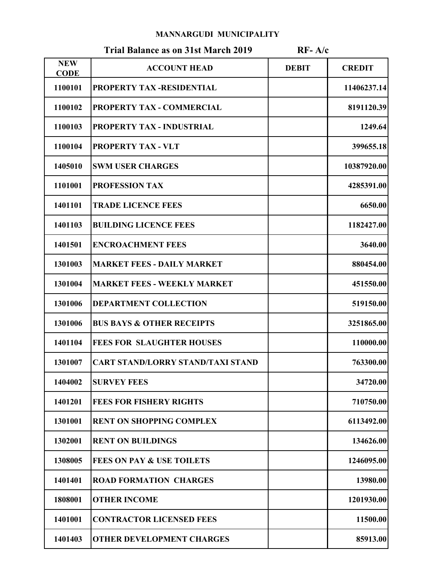### MANNARGUDI MUNICIPALITY

|                           | <b>MANNARGUDI MUNICIPALITY</b>             |              |               |
|---------------------------|--------------------------------------------|--------------|---------------|
|                           | <b>Trial Balance as on 31st March 2019</b> | $RF- A/c$    |               |
| <b>NEW</b><br><b>CODE</b> | <b>ACCOUNT HEAD</b>                        | <b>DEBIT</b> | <b>CREDIT</b> |
| 1100101                   | <b>PROPERTY TAX-RESIDENTIAL</b>            |              | 11406237.14   |
| 1100102                   | PROPERTY TAX - COMMERCIAL                  |              | 8191120.39    |
| 1100103                   | <b>PROPERTY TAX - INDUSTRIAL</b>           |              | 1249.64       |
| 1100104                   | <b>PROPERTY TAX - VLT</b>                  |              | 399655.18     |
| 1405010                   | <b>SWM USER CHARGES</b>                    |              | 10387920.00   |
| 1101001                   | <b>PROFESSION TAX</b>                      |              | 4285391.00    |
| 1401101                   | <b>TRADE LICENCE FEES</b>                  |              | 6650.00       |
| 1401103                   | <b>BUILDING LICENCE FEES</b>               |              | 1182427.00    |
| 1401501                   | <b>ENCROACHMENT FEES</b>                   |              | 3640.00       |
| 1301003                   | <b>MARKET FEES - DAILY MARKET</b>          |              | 880454.00     |
| 1301004                   | <b>MARKET FEES - WEEKLY MARKET</b>         |              | 451550.00     |
| 1301006                   | <b>DEPARTMENT COLLECTION</b>               |              | 519150.00     |
| 1301006                   | <b>BUS BAYS &amp; OTHER RECEIPTS</b>       |              | 3251865.00    |
| 1401104                   | <b>FEES FOR SLAUGHTER HOUSES</b>           |              | 110000.00     |
| 1301007                   | <b>CART STAND/LORRY STAND/TAXI STAND</b>   |              | 763300.00     |
| 1404002                   | <b>SURVEY FEES</b>                         |              | 34720.00      |
| 1401201                   | <b>FEES FOR FISHERY RIGHTS</b>             |              | 710750.00     |
| 1301001                   | <b>RENT ON SHOPPING COMPLEX</b>            |              | 6113492.00    |
| 1302001                   | <b>RENT ON BUILDINGS</b>                   |              | 134626.00     |
| 1308005                   | <b>FEES ON PAY &amp; USE TOILETS</b>       |              | 1246095.00    |
| 1401401                   | <b>ROAD FORMATION CHARGES</b>              |              | 13980.00      |
| 1808001                   | <b>OTHER INCOME</b>                        |              | 1201930.00    |
| 1401001                   | <b>CONTRACTOR LICENSED FEES</b>            |              | 11500.00      |
| 1401403                   | <b>OTHER DEVELOPMENT CHARGES</b>           |              | 85913.00      |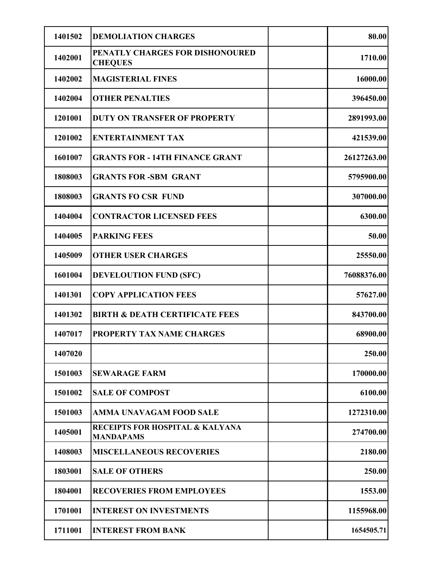| 1401502 | <b>DEMOLIATION CHARGES</b>                          | 80.00       |
|---------|-----------------------------------------------------|-------------|
| 1402001 | PENATLY CHARGES FOR DISHONOURED<br><b>CHEQUES</b>   | 1710.00     |
| 1402002 | <b>MAGISTERIAL FINES</b>                            | 16000.00    |
| 1402004 | <b>OTHER PENALTIES</b>                              | 396450.00   |
| 1201001 | <b>DUTY ON TRANSFER OF PROPERTY</b>                 | 2891993.00  |
| 1201002 | <b>ENTERTAINMENT TAX</b>                            | 421539.00   |
| 1601007 | <b>GRANTS FOR - 14TH FINANCE GRANT</b>              | 26127263.00 |
| 1808003 | <b>GRANTS FOR -SBM GRANT</b>                        | 5795900.00  |
| 1808003 | <b>GRANTS FO CSR FUND</b>                           | 307000.00   |
| 1404004 | <b>CONTRACTOR LICENSED FEES</b>                     | 6300.00     |
| 1404005 | <b>PARKING FEES</b>                                 | 50.00       |
| 1405009 | <b>OTHER USER CHARGES</b>                           | 25550.00    |
| 1601004 | <b>DEVELOUTION FUND (SFC)</b>                       | 76088376.00 |
| 1401301 | <b>COPY APPLICATION FEES</b>                        | 57627.00    |
| 1401302 | <b>BIRTH &amp; DEATH CERTIFICATE FEES</b>           | 843700.00   |
| 1407017 | PROPERTY TAX NAME CHARGES                           | 68900.00    |
| 1407020 |                                                     | 250.00      |
| 1501003 | <b>SEWARAGE FARM</b>                                | 170000.00   |
| 1501002 | <b>SALE OF COMPOST</b>                              | 6100.00     |
| 1501003 | AMMA UNAVAGAM FOOD SALE                             | 1272310.00  |
| 1405001 | RECEIPTS FOR HOSPITAL & KALYANA<br><b>MANDAPAMS</b> | 274700.00   |
| 1408003 | <b>MISCELLANEOUS RECOVERIES</b>                     | 2180.00     |
| 1803001 | <b>SALE OF OTHERS</b>                               | 250.00      |
| 1804001 | <b>RECOVERIES FROM EMPLOYEES</b>                    | 1553.00     |
| 1701001 | <b>INTEREST ON INVESTMENTS</b>                      | 1155968.00  |
| 1711001 | <b>INTEREST FROM BANK</b>                           | 1654505.71  |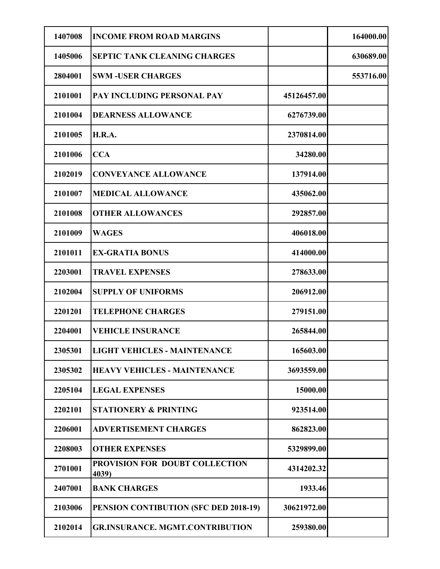| 1407008 | <b>INCOME FROM ROAD MARGINS</b>         |             | 164000.00 |
|---------|-----------------------------------------|-------------|-----------|
| 1405006 | <b>SEPTIC TANK CLEANING CHARGES</b>     |             | 630689.00 |
| 2804001 | <b>SWM-USER CHARGES</b>                 |             | 553716.00 |
| 2101001 | PAY INCLUDING PERSONAL PAY              | 45126457.00 |           |
| 2101004 | <b>DEARNESS ALLOWANCE</b>               | 6276739.00  |           |
| 2101005 | <b>H.R.A.</b>                           | 2370814.00  |           |
| 2101006 | <b>CCA</b>                              | 34280.00    |           |
| 2102019 | <b>CONVEYANCE ALLOWANCE</b>             | 137914.00   |           |
| 2101007 | <b>MEDICAL ALLOWANCE</b>                | 435062.00   |           |
| 2101008 | <b>OTHER ALLOWANCES</b>                 | 292857.00   |           |
| 2101009 | <b>WAGES</b>                            | 406018.00   |           |
| 2101011 | <b>EX-GRATIA BONUS</b>                  | 414000.00   |           |
| 2203001 | <b>TRAVEL EXPENSES</b>                  | 278633.00   |           |
| 2102004 | <b>SUPPLY OF UNIFORMS</b>               | 206912.00   |           |
| 2201201 | <b>TELEPHONE CHARGES</b>                | 279151.00   |           |
| 2204001 | <b>VEHICLE INSURANCE</b>                | 265844.00   |           |
| 2305301 | <b>LIGHT VEHICLES - MAINTENANCE</b>     | 165603.00   |           |
| 2305302 | <b>HEAVY VEHICLES - MAINTENANCE</b>     | 3693559.00  |           |
| 2205104 | <b>LEGAL EXPENSES</b>                   | 15000.00    |           |
| 2202101 | <b>STATIONERY &amp; PRINTING</b>        | 923514.00   |           |
| 2206001 | <b>ADVERTISEMENT CHARGES</b>            | 862823.00   |           |
| 2208003 | <b>OTHER EXPENSES</b>                   | 5329899.00  |           |
| 2701001 | PROVISION FOR DOUBT COLLECTION<br>4039) | 4314202.32  |           |
| 2407001 | <b>BANK CHARGES</b>                     | 1933.46     |           |
| 2103006 | PENSION CONTIBUTION (SFC DED 2018-19)   | 30621972.00 |           |
| 2102014 | <b>GR.INSURANCE. MGMT.CONTRIBUTION</b>  | 259380.00   |           |
|         |                                         |             |           |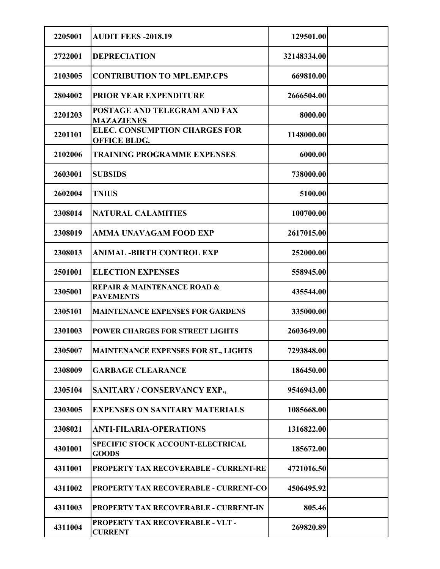| 2205001 | <b>AUDIT FEES -2018.19</b>                                     | 129501.00   |  |
|---------|----------------------------------------------------------------|-------------|--|
| 2722001 | <b>DEPRECIATION</b>                                            | 32148334.00 |  |
| 2103005 | <b>CONTRIBUTION TO MPL.EMP.CPS</b>                             | 669810.00   |  |
| 2804002 | <b>PRIOR YEAR EXPENDITURE</b>                                  | 2666504.00  |  |
| 2201203 | POSTAGE AND TELEGRAM AND FAX<br><b>MAZAZIENES</b>              | 8000.00     |  |
| 2201101 | <b>ELEC. CONSUMPTION CHARGES FOR</b><br><b>OFFICE BLDG.</b>    | 1148000.00  |  |
| 2102006 | <b>TRAINING PROGRAMME EXPENSES</b>                             | 6000.00     |  |
| 2603001 | <b>SUBSIDS</b>                                                 | 738000.00   |  |
| 2602004 | <b>TNIUS</b>                                                   | 5100.00     |  |
| 2308014 | <b>NATURAL CALAMITIES</b>                                      | 100700.00   |  |
| 2308019 | AMMA UNAVAGAM FOOD EXP                                         | 2617015.00  |  |
| 2308013 | <b>ANIMAL -BIRTH CONTROL EXP</b>                               | 252000.00   |  |
| 2501001 | <b>ELECTION EXPENSES</b>                                       | 558945.00   |  |
| 2305001 | <b>REPAIR &amp; MAINTENANCE ROAD &amp;</b><br><b>PAVEMENTS</b> | 435544.00   |  |
| 2305101 | <b>MAINTENANCE EXPENSES FOR GARDENS</b>                        | 335000.00   |  |
| 2301003 | POWER CHARGES FOR STREET LIGHTS                                | 2603649.00  |  |
| 2305007 | MAINTENANCE EXPENSES FOR ST., LIGHTS                           | 7293848.00  |  |
| 2308009 | <b>GARBAGE CLEARANCE</b>                                       | 186450.00   |  |
| 2305104 | SANITARY / CONSERVANCY EXP.,                                   | 9546943.00  |  |
| 2303005 | <b>EXPENSES ON SANITARY MATERIALS</b>                          | 1085668.00  |  |
| 2308021 | <b>ANTI-FILARIA-OPERATIONS</b>                                 | 1316822.00  |  |
| 4301001 | SPECIFIC STOCK ACCOUNT-ELECTRICAL<br><b>GOODS</b>              | 185672.00   |  |
| 4311001 | PROPERTY TAX RECOVERABLE - CURRENT-RE                          | 4721016.50  |  |
| 4311002 | <b>PROPERTY TAX RECOVERABLE - CURRENT-CO</b>                   | 4506495.92  |  |
| 4311003 | PROPERTY TAX RECOVERABLE - CURRENT-IN                          | 805.46      |  |
| 4311004 | PROPERTY TAX RECOVERABLE - VLT -<br><b>CURRENT</b>             | 269820.89   |  |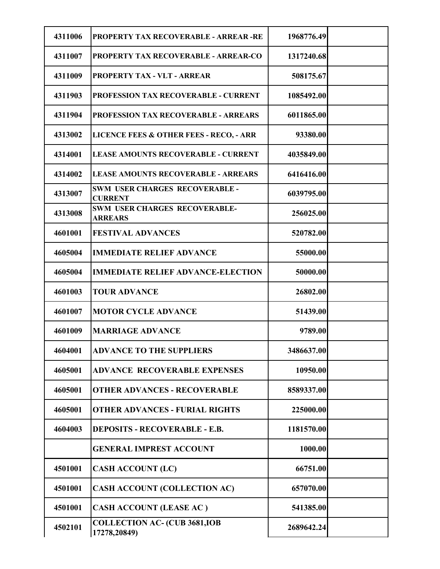| 4311006<br>1968776.49<br><b>PROPERTY TAX RECOVERABLE - ARREAR -RE</b>            |
|----------------------------------------------------------------------------------|
|                                                                                  |
| 4311007<br>PROPERTY TAX RECOVERABLE - ARREAR-CO<br>1317240.68                    |
| <b>PROPERTY TAX - VLT - ARREAR</b><br>508175.67<br>4311009                       |
| <b>PROFESSION TAX RECOVERABLE - CURRENT</b><br>1085492.00<br>4311903             |
| <b>PROFESSION TAX RECOVERABLE - ARREARS</b><br>6011865.00<br>4311904             |
| 4313002<br><b>LICENCE FEES &amp; OTHER FEES - RECO, - ARR</b><br>93380.00        |
| 4314001<br><b>LEASE AMOUNTS RECOVERABLE - CURRENT</b><br>4035849.00              |
| 4314002<br><b>LEASE AMOUNTS RECOVERABLE - ARREARS</b><br>6416416.00              |
| <b>SWM USER CHARGES RECOVERABLE -</b><br>4313007<br>6039795.00<br><b>CURRENT</b> |
| <b>SWM USER CHARGES RECOVERABLE-</b><br>4313008<br>256025.00<br><b>ARREARS</b>   |
| 4601001<br><b>FESTIVAL ADVANCES</b><br>520782.00                                 |
| <b>IMMEDIATE RELIEF ADVANCE</b><br>4605004<br>55000.00                           |
| 4605004<br><b>IMMEDIATE RELIEF ADVANCE-ELECTION</b><br>50000.00                  |
| 4601003<br><b>TOUR ADVANCE</b><br>26802.00                                       |
| <b>MOTOR CYCLE ADVANCE</b><br>4601007<br>51439.00                                |
| <b>MARRIAGE ADVANCE</b><br>4601009<br>9789.00                                    |
| 4604001<br><b>ADVANCE TO THE SUPPLIERS</b><br>3486637.00                         |
| 4605001<br><b>ADVANCE RECOVERABLE EXPENSES</b><br>10950.00                       |
| 4605001<br><b>OTHER ADVANCES - RECOVERABLE</b><br>8589337.00                     |
| 4605001<br><b>OTHER ADVANCES - FURIAL RIGHTS</b><br>225000.00                    |
| 4604003<br><b>DEPOSITS - RECOVERABLE - E.B.</b><br>1181570.00                    |
| <b>GENERAL IMPREST ACCOUNT</b><br>1000.00                                        |
| <b>CASH ACCOUNT (LC)</b><br>4501001<br>66751.00                                  |
| <b>CASH ACCOUNT (COLLECTION AC)</b><br>4501001<br>657070.00                      |
| <b>CASH ACCOUNT (LEASE AC)</b><br>4501001<br>541385.00                           |
| <b>COLLECTION AC- (CUB 3681, IOB</b><br>4502101<br>2689642.24<br>17278,20849)    |
|                                                                                  |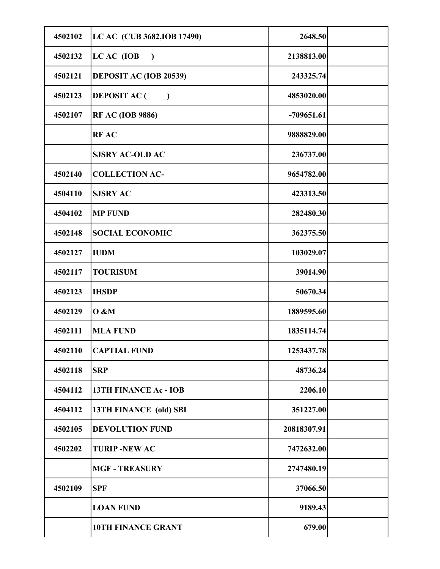| 4502102 | LC AC (CUB 3682, IOB 17490)            | 2648.50      |  |
|---------|----------------------------------------|--------------|--|
| 4502132 | LC AC (IOB<br>$\overline{\phantom{a}}$ | 2138813.00   |  |
| 4502121 | <b>DEPOSIT AC (IOB 20539)</b>          | 243325.74    |  |
| 4502123 | <b>DEPOSIT AC</b> (<br>$\mathcal{L}$   | 4853020.00   |  |
| 4502107 | <b>RF AC (IOB 9886)</b>                | $-709651.61$ |  |
|         | <b>RFAC</b>                            | 9888829.00   |  |
|         | <b>SJSRY AC-OLD AC</b>                 | 236737.00    |  |
| 4502140 | <b>COLLECTION AC-</b>                  | 9654782.00   |  |
| 4504110 | <b>SJSRY AC</b>                        | 423313.50    |  |
| 4504102 | <b>MP FUND</b>                         | 282480.30    |  |
| 4502148 | <b>SOCIAL ECONOMIC</b>                 | 362375.50    |  |
| 4502127 | <b>IUDM</b>                            | 103029.07    |  |
| 4502117 | <b>TOURISUM</b>                        | 39014.90     |  |
| 4502123 | <b>IHSDP</b>                           | 50670.34     |  |
| 4502129 | <b>O</b> &M                            | 1889595.60   |  |
| 4502111 | <b>MLA FUND</b>                        | 1835114.74   |  |
| 4502110 | <b>CAPTIAL FUND</b>                    | 1253437.78   |  |
| 4502118 | <b>SRP</b>                             | 48736.24     |  |
| 4504112 | 13TH FINANCE Ac - IOB                  | 2206.10      |  |
| 4504112 | 13TH FINANCE (old) SBI                 | 351227.00    |  |
| 4502105 | <b>DEVOLUTION FUND</b>                 | 20818307.91  |  |
| 4502202 | <b>TURIP-NEW AC</b>                    | 7472632.00   |  |
|         | <b>MGF - TREASURY</b>                  | 2747480.19   |  |
| 4502109 | <b>SPF</b>                             | 37066.50     |  |
|         | <b>LOAN FUND</b>                       | 9189.43      |  |
|         | 10TH FINANCE GRANT                     | 679.00       |  |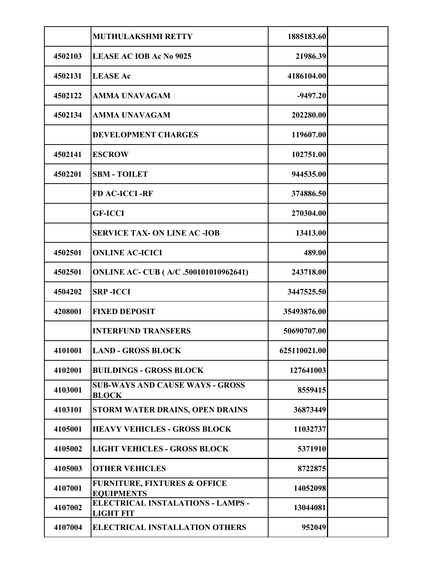|         | MUTHULAKSHMI RETTY                                           | 1885183.60   |  |
|---------|--------------------------------------------------------------|--------------|--|
| 4502103 | <b>LEASE AC IOB Ac No 9025</b>                               | 21986.39     |  |
| 4502131 | <b>LEASE Ac</b>                                              | 4186104.00   |  |
| 4502122 | <b>AMMA UNAVAGAM</b>                                         | $-9497.20$   |  |
| 4502134 | <b>AMMA UNAVAGAM</b>                                         | 202280.00    |  |
|         | <b>DEVELOPMENT CHARGES</b>                                   | 119607.00    |  |
| 4502141 | <b>ESCROW</b>                                                | 102751.00    |  |
| 4502201 | <b>SBM - TOILET</b>                                          | 944535.00    |  |
|         | <b>FD AC-ICCI-RF</b>                                         | 374886.50    |  |
|         | <b>GF-ICCI</b>                                               | 270304.00    |  |
|         | <b>SERVICE TAX- ON LINE AC -IOB</b>                          | 13413.00     |  |
| 4502501 | <b>ONLINE AC-ICICI</b>                                       | 489.00       |  |
| 4502501 | <b>ONLINE AC- CUB (A/C .500101010962641)</b>                 | 243718.00    |  |
| 4504202 | <b>SRP-ICCI</b>                                              | 3447525.50   |  |
| 4208001 | <b>FIXED DEPOSIT</b>                                         | 35493876.00  |  |
|         | <b>INTERFUND TRANSFERS</b>                                   | 50690707.00  |  |
| 4101001 | <b>LAND - GROSS BLOCK</b>                                    | 625110021.00 |  |
| 4102001 | <b>BUILDINGS - GROSS BLOCK</b>                               | 127641003    |  |
| 4103001 | <b>SUB-WAYS AND CAUSE WAYS - GROSS</b>                       | 8559415      |  |
| 4103101 | <b>BLOCK</b><br>STORM WATER DRAINS, OPEN DRAINS              | 36873449     |  |
| 4105001 | <b>HEAVY VEHICLES - GROSS BLOCK</b>                          | 11032737     |  |
| 4105002 | <b>LIGHT VEHICLES - GROSS BLOCK</b>                          | 5371910      |  |
| 4105003 | <b>OTHER VEHICLES</b>                                        | 8722875      |  |
| 4107001 | <b>FURNITURE, FIXTURES &amp; OFFICE</b><br><b>EQUIPMENTS</b> | 14052098     |  |
| 4107002 | <b>ELECTRICAL INSTALATIONS - LAMPS -</b><br><b>LIGHT FIT</b> | 13044081     |  |
| 4107004 | <b>ELECTRICAL INSTALLATION OTHERS</b>                        | 952049       |  |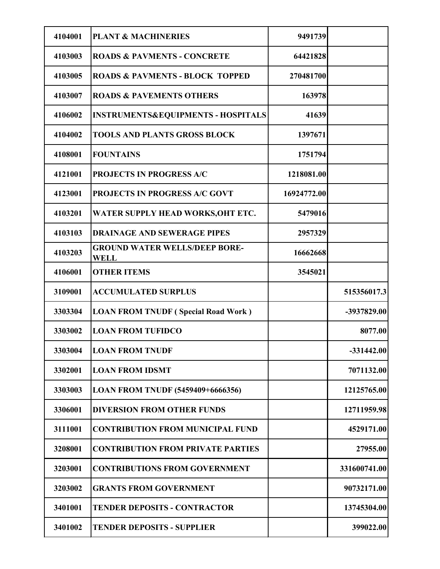| 4104001 |                                                     | 9491739     |               |
|---------|-----------------------------------------------------|-------------|---------------|
|         | <b>PLANT &amp; MACHINERIES</b>                      |             |               |
| 4103003 | <b>ROADS &amp; PAVMENTS - CONCRETE</b>              | 64421828    |               |
| 4103005 | <b>ROADS &amp; PAVMENTS - BLOCK TOPPED</b>          | 270481700   |               |
| 4103007 | <b>ROADS &amp; PAVEMENTS OTHERS</b>                 | 163978      |               |
| 4106002 | <b>INSTRUMENTS&amp;EQUIPMENTS - HOSPITALS</b>       | 41639       |               |
| 4104002 | <b>TOOLS AND PLANTS GROSS BLOCK</b>                 | 1397671     |               |
| 4108001 | <b>FOUNTAINS</b>                                    | 1751794     |               |
| 4121001 | <b>PROJECTS IN PROGRESS A/C</b>                     | 1218081.00  |               |
| 4123001 | PROJECTS IN PROGRESS A/C GOVT                       | 16924772.00 |               |
| 4103201 | WATER SUPPLY HEAD WORKS, OHT ETC.                   | 5479016     |               |
| 4103103 | <b>DRAINAGE AND SEWERAGE PIPES</b>                  | 2957329     |               |
| 4103203 | <b>GROUND WATER WELLS/DEEP BORE-</b><br><b>WELL</b> | 16662668    |               |
| 4106001 | <b>OTHER ITEMS</b>                                  | 3545021     |               |
| 3109001 | <b>ACCUMULATED SURPLUS</b>                          |             | 515356017.3   |
| 3303304 | <b>LOAN FROM TNUDF (Special Road Work)</b>          |             | $-3937829.00$ |
| 3303002 | <b>LOAN FROM TUFIDCO</b>                            |             | 8077.00       |
| 3303004 | <b>LOAN FROM TNUDF</b>                              |             | $-331442.00$  |
| 3302001 | <b>LOAN FROM IDSMT</b>                              |             | 7071132.00    |
| 3303003 | LOAN FROM TNUDF (5459409+6666356)                   |             | 12125765.00   |
| 3306001 | <b>DIVERSION FROM OTHER FUNDS</b>                   |             | 12711959.98   |
| 3111001 | <b>CONTRIBUTION FROM MUNICIPAL FUND</b>             |             | 4529171.00    |
| 3208001 | <b>CONTRIBUTION FROM PRIVATE PARTIES</b>            |             | 27955.00      |
| 3203001 | <b>CONTRIBUTIONS FROM GOVERNMENT</b>                |             | 331600741.00  |
| 3203002 | <b>GRANTS FROM GOVERNMENT</b>                       |             | 90732171.00   |
| 3401001 | <b>TENDER DEPOSITS - CONTRACTOR</b>                 |             | 13745304.00   |
| 3401002 | <b>TENDER DEPOSITS - SUPPLIER</b>                   |             | 399022.00     |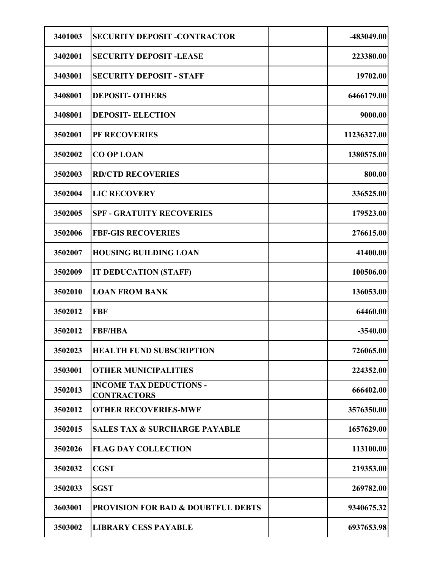| 3401003 | <b>SECURITY DEPOSIT -CONTRACTOR</b>                           | $-483049.00$         |
|---------|---------------------------------------------------------------|----------------------|
| 3402001 | <b>SECURITY DEPOSIT -LEASE</b>                                | 223380.00            |
| 3403001 |                                                               |                      |
| 3408001 | <b>SECURITY DEPOSIT - STAFF</b><br><b>DEPOSIT- OTHERS</b>     | 19702.00             |
|         |                                                               | 6466179.00           |
| 3408001 | <b>DEPOSIT-ELECTION</b>                                       | 9000.00              |
| 3502001 | PF RECOVERIES<br><b>CO OP LOAN</b>                            | 11236327.00          |
| 3502002 |                                                               | 1380575.00<br>800.00 |
| 3502003 | <b>RD/CTD RECOVERIES</b>                                      |                      |
| 3502004 | <b>LIC RECOVERY</b>                                           | 336525.00            |
| 3502005 | <b>SPF - GRATUITY RECOVERIES</b>                              | 179523.00            |
| 3502006 | <b>FBF-GIS RECOVERIES</b>                                     | 276615.00            |
| 3502007 | <b>HOUSING BUILDING LOAN</b>                                  | 41400.00             |
| 3502009 | IT DEDUCATION (STAFF)                                         | 100506.00            |
| 3502010 | <b>LOAN FROM BANK</b>                                         | 136053.00            |
| 3502012 | <b>FBF</b>                                                    | 64460.00             |
| 3502012 | <b>FBF/HBA</b>                                                | $-3540.00$           |
| 3502023 | <b>HEALTH FUND SUBSCRIPTION</b>                               | 726065.00            |
| 3503001 | <b>OTHER MUNICIPALITIES</b><br><b>INCOME TAX DEDUCTIONS -</b> | 224352.00            |
| 3502013 | <b>CONTRACTORS</b>                                            | 666402.00            |
| 3502012 | <b>OTHER RECOVERIES-MWF</b>                                   | 3576350.00           |
| 3502015 | <b>SALES TAX &amp; SURCHARGE PAYABLE</b>                      | 1657629.00           |
| 3502026 | <b>FLAG DAY COLLECTION</b>                                    | 113100.00            |
| 3502032 | <b>CGST</b>                                                   | 219353.00            |
| 3502033 | <b>SGST</b>                                                   | 269782.00            |
| 3603001 | <b>PROVISION FOR BAD &amp; DOUBTFUL DEBTS</b>                 | 9340675.32           |
| 3503002 | <b>LIBRARY CESS PAYABLE</b>                                   | 6937653.98           |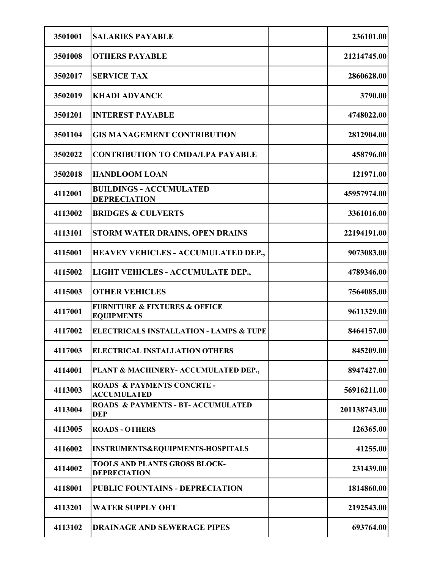| 3501001 | <b>SALARIES PAYABLE</b>                                           | 236101.00    |
|---------|-------------------------------------------------------------------|--------------|
| 3501008 | <b>OTHERS PAYABLE</b>                                             | 21214745.00  |
| 3502017 | <b>SERVICE TAX</b>                                                | 2860628.00   |
| 3502019 | <b>KHADI ADVANCE</b>                                              | 3790.00      |
| 3501201 | <b>INTEREST PAYABLE</b>                                           | 4748022.00   |
| 3501104 | <b>GIS MANAGEMENT CONTRIBUTION</b>                                | 2812904.00   |
| 3502022 | <b>CONTRIBUTION TO CMDA/LPA PAYABLE</b>                           | 458796.00    |
| 3502018 | <b>HANDLOOM LOAN</b>                                              | 121971.00    |
| 4112001 | <b>BUILDINGS - ACCUMULATED</b><br><b>DEPRECIATION</b>             | 45957974.00  |
| 4113002 | <b>BRIDGES &amp; CULVERTS</b>                                     | 3361016.00   |
| 4113101 | <b>STORM WATER DRAINS, OPEN DRAINS</b>                            | 22194191.00  |
| 4115001 | <b>HEAVEY VEHICLES - ACCUMULATED DEP.,</b>                        | 9073083.00   |
| 4115002 | LIGHT VEHICLES - ACCUMULATE DEP.,                                 | 4789346.00   |
| 4115003 | <b>OTHER VEHICLES</b>                                             | 7564085.00   |
| 4117001 | <b>FURNITURE &amp; FIXTURES &amp; OFFICE</b><br><b>EQUIPMENTS</b> | 9611329.00   |
| 4117002 | <b>ELECTRICALS INSTALLATION - LAMPS &amp; TUPE</b>                | 8464157.00   |
| 4117003 | <b>ELECTRICAL INSTALLATION OTHERS</b>                             | 845209.00    |
| 4114001 | PLANT & MACHINERY- ACCUMULATED DEP.,                              | 8947427.00   |
| 4113003 | ROADS & PAYMENTS CONCRTE -<br><b>ACCUMULATED</b>                  | 56916211.00  |
| 4113004 | <b>ROADS &amp; PAYMENTS - BT- ACCUMULATED</b><br><b>DEP</b>       | 201138743.00 |
| 4113005 | <b>ROADS - OTHERS</b>                                             | 126365.00    |
| 4116002 | INSTRUMENTS&EQUIPMENTS-HOSPITALS                                  | 41255.00     |
| 4114002 | TOOLS AND PLANTS GROSS BLOCK-<br><b>DEPRECIATION</b>              | 231439.00    |
| 4118001 | <b>PUBLIC FOUNTAINS - DEPRECIATION</b>                            | 1814860.00   |
| 4113201 | <b>WATER SUPPLY OHT</b>                                           | 2192543.00   |
| 4113102 | <b>DRAINAGE AND SEWERAGE PIPES</b>                                | 693764.00    |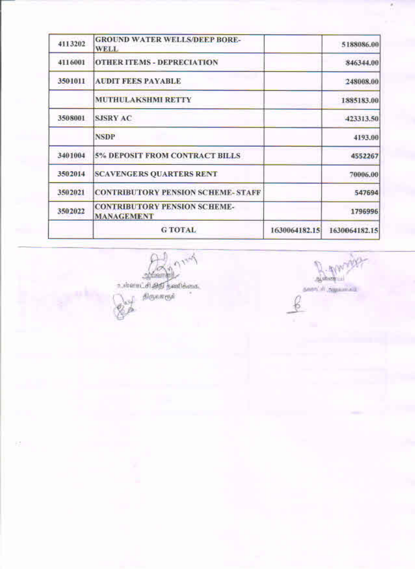| 4113202 | <b>GROUND WATER WELLS/DEEP BORE-</b><br><b>WELL</b>      |               | 5188086.00    |
|---------|----------------------------------------------------------|---------------|---------------|
| 4116001 | <b>OTHER ITEMS - DEPRECIATION</b>                        |               | 846344.00     |
| 3501011 | <b>AUDIT FEES PAYABLE</b>                                |               | 248008.00     |
|         | <b>MUTHULAKSHMI RETTY</b>                                |               | 1885183.00    |
| 3508001 | <b>SJSRY AC</b>                                          |               | 423313.50     |
|         | <b>NSDP</b>                                              |               | 4193.00       |
| 3401004 | <b>5% DEPOSIT FROM CONTRACT BILLS</b>                    |               | 4552267       |
| 3502014 | <b>SCAVENGERS QUARTERS RENT</b>                          |               | 70006.00      |
| 3502021 | <b>CONTRIBUTORY PENSION SCHEME-STAFF</b>                 |               | 547694        |
| 3502022 | <b>CONTRIBUTORY PENSION SCHEME-</b><br><b>MANAGEMENT</b> |               | 1796996       |
|         | <b>GTOTAL</b>                                            | 1630064182.15 | 1630064182.15 |

**ANT** A

 $\mathbb{R}^4_+$ 

Barnage தவரா<sup>ப்ப</sup>் நிறுவன்போ

ë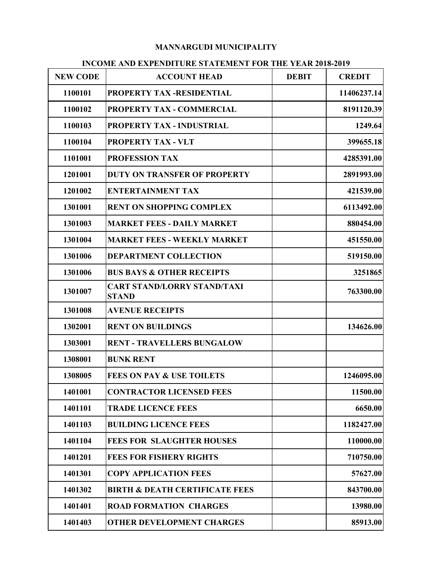### MANNARGUDI MUNICIPALITY

|                 | <b>MANNARGUDI MUNICIPALITY</b>                                 |              |               |
|-----------------|----------------------------------------------------------------|--------------|---------------|
|                 | <b>INCOME AND EXPENDITURE STATEMENT FOR THE YEAR 2018-2019</b> |              |               |
| <b>NEW CODE</b> | <b>ACCOUNT HEAD</b>                                            | <b>DEBIT</b> | <b>CREDIT</b> |
| 1100101         | PROPERTY TAX-RESIDENTIAL                                       |              | 11406237.14   |
| 1100102         | PROPERTY TAX - COMMERCIAL                                      |              | 8191120.39    |
| 1100103         | PROPERTY TAX - INDUSTRIAL                                      |              | 1249.64       |
| 1100104         | <b>PROPERTY TAX - VLT</b>                                      |              | 399655.18     |
| 1101001         | <b>PROFESSION TAX</b>                                          |              | 4285391.00    |
| 1201001         | <b>DUTY ON TRANSFER OF PROPERTY</b>                            |              | 2891993.00    |
| 1201002         | <b>ENTERTAINMENT TAX</b>                                       |              | 421539.00     |
| 1301001         | <b>RENT ON SHOPPING COMPLEX</b>                                |              | 6113492.00    |
| 1301003         | <b>MARKET FEES - DAILY MARKET</b>                              |              | 880454.00     |
| 1301004         | <b>MARKET FEES - WEEKLY MARKET</b>                             |              | 451550.00     |
| 1301006         | <b>DEPARTMENT COLLECTION</b>                                   |              | 519150.00     |
| 1301006         | <b>BUS BAYS &amp; OTHER RECEIPTS</b>                           |              | 3251865       |
| 1301007         | <b>CART STAND/LORRY STAND/TAXI</b><br><b>STAND</b>             |              | 763300.00     |
| 1301008         | <b>AVENUE RECEIPTS</b>                                         |              |               |
| 1302001         | <b>RENT ON BUILDINGS</b>                                       |              | 134626.00     |
| 1303001         | <b>RENT - TRAVELLERS BUNGALOW</b>                              |              |               |
| 1308001         | <b>BUNK RENT</b>                                               |              |               |
| 1308005         | <b>FEES ON PAY &amp; USE TOILETS</b>                           |              | 1246095.00    |
| 1401001         | <b>CONTRACTOR LICENSED FEES</b>                                |              | 11500.00      |
| 1401101         | <b>TRADE LICENCE FEES</b>                                      |              | 6650.00       |
| 1401103         | <b>BUILDING LICENCE FEES</b>                                   |              | 1182427.00    |
| 1401104         | <b>FEES FOR SLAUGHTER HOUSES</b>                               |              | 110000.00     |
| 1401201         | <b>FEES FOR FISHERY RIGHTS</b>                                 |              | 710750.00     |
| 1401301         | <b>COPY APPLICATION FEES</b>                                   |              | 57627.00      |
| 1401302         | <b>BIRTH &amp; DEATH CERTIFICATE FEES</b>                      |              | 843700.00     |
| 1401401         | <b>ROAD FORMATION CHARGES</b>                                  |              | 13980.00      |
|                 | <b>OTHER DEVELOPMENT CHARGES</b>                               |              |               |

#### INCOME AND EXPENDITURE STATEMENT FOR THE YEAR 2018-2019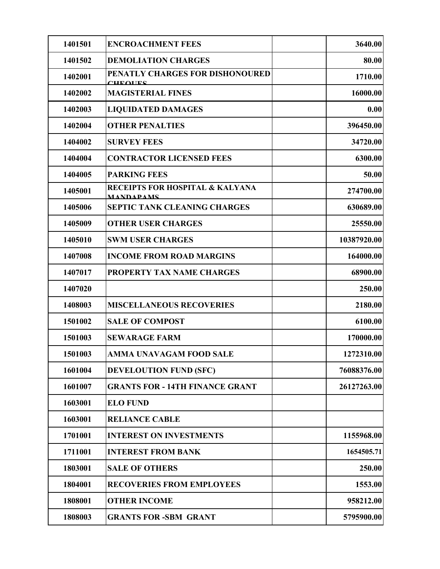| 1401501 | <b>ENCROACHMENT FEES</b>                                       | 3640.00     |
|---------|----------------------------------------------------------------|-------------|
| 1401502 | <b>DEMOLIATION CHARGES</b>                                     | 80.00       |
| 1402001 | PENATLY CHARGES FOR DISHONOURED<br>$C\Pi$ equations.           | 1710.00     |
| 1402002 | <b>MAGISTERIAL FINES</b>                                       | 16000.00    |
| 1402003 | <b>LIQUIDATED DAMAGES</b>                                      | 0.00        |
| 1402004 | <b>OTHER PENALTIES</b>                                         | 396450.00   |
| 1404002 | <b>SURVEY FEES</b>                                             | 34720.00    |
| 1404004 | <b>CONTRACTOR LICENSED FEES</b>                                | 6300.00     |
| 1404005 | <b>PARKING FEES</b>                                            | 50.00       |
| 1405001 | <b>RECEIPTS FOR HOSPITAL &amp; KALYANA</b><br><b>MANDAPAMS</b> | 274700.00   |
| 1405006 | <b>SEPTIC TANK CLEANING CHARGES</b>                            | 630689.00   |
| 1405009 | <b>OTHER USER CHARGES</b>                                      | 25550.00    |
| 1405010 | <b>SWM USER CHARGES</b>                                        | 10387920.00 |
| 1407008 | <b>INCOME FROM ROAD MARGINS</b>                                | 164000.00   |
| 1407017 | PROPERTY TAX NAME CHARGES                                      | 68900.00    |
| 1407020 |                                                                | 250.00      |
| 1408003 | <b>MISCELLANEOUS RECOVERIES</b>                                | 2180.00     |
| 1501002 | <b>SALE OF COMPOST</b>                                         | 6100.00     |
| 1501003 | <b>SEWARAGE FARM</b>                                           | 170000.00   |
| 1501003 | AMMA UNAVAGAM FOOD SALE                                        | 1272310.00  |
| 1601004 | <b>DEVELOUTION FUND (SFC)</b>                                  | 76088376.00 |
| 1601007 | <b>GRANTS FOR - 14TH FINANCE GRANT</b>                         | 26127263.00 |
| 1603001 | <b>ELO FUND</b>                                                |             |
| 1603001 | <b>RELIANCE CABLE</b>                                          |             |
| 1701001 | <b>INTEREST ON INVESTMENTS</b>                                 | 1155968.00  |
| 1711001 | <b>INTEREST FROM BANK</b>                                      | 1654505.71  |
| 1803001 | <b>SALE OF OTHERS</b>                                          | 250.00      |
| 1804001 | <b>RECOVERIES FROM EMPLOYEES</b>                               | 1553.00     |
| 1808001 | <b>OTHER INCOME</b>                                            | 958212.00   |
| 1808003 | <b>GRANTS FOR -SBM GRANT</b>                                   | 5795900.00  |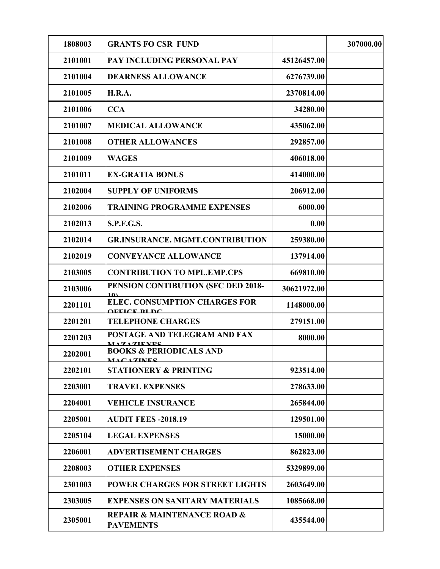| 1808003 | <b>GRANTS FO CSR FUND</b>                                      |             | 307000.00 |
|---------|----------------------------------------------------------------|-------------|-----------|
| 2101001 | PAY INCLUDING PERSONAL PAY                                     | 45126457.00 |           |
| 2101004 | <b>DEARNESS ALLOWANCE</b>                                      | 6276739.00  |           |
| 2101005 | <b>H.R.A.</b>                                                  | 2370814.00  |           |
| 2101006 | <b>CCA</b>                                                     | 34280.00    |           |
| 2101007 | <b>MEDICAL ALLOWANCE</b>                                       | 435062.00   |           |
| 2101008 | <b>OTHER ALLOWANCES</b>                                        | 292857.00   |           |
| 2101009 | <b>WAGES</b>                                                   | 406018.00   |           |
| 2101011 | <b>EX-GRATIA BONUS</b>                                         | 414000.00   |           |
| 2102004 | <b>SUPPLY OF UNIFORMS</b>                                      | 206912.00   |           |
| 2102006 | <b>TRAINING PROGRAMME EXPENSES</b>                             | 6000.00     |           |
| 2102013 | <b>S.P.F.G.S.</b>                                              | 0.00        |           |
| 2102014 | <b>GR.INSURANCE. MGMT.CONTRIBUTION</b>                         | 259380.00   |           |
| 2102019 | <b>CONVEYANCE ALLOWANCE</b>                                    | 137914.00   |           |
| 2103005 | <b>CONTRIBUTION TO MPL.EMP.CPS</b>                             | 669810.00   |           |
| 2103006 | PENSION CONTIBUTION (SFC DED 2018-                             | 30621972.00 |           |
| 2201101 | 10)<br><b>ELEC. CONSUMPTION CHARGES FOR</b>                    | 1148000.00  |           |
| 2201201 | <b>AEFICE BI DC</b><br><b>TELEPHONE CHARGES</b>                | 279151.00   |           |
| 2201203 | POSTAGE AND TELEGRAM AND FAX<br><b>MAZAZIENES</b>              | 8000.00     |           |
| 2202001 | <b>BOOKS &amp; PERIODICALS AND</b><br><b>MACAZINES</b>         |             |           |
| 2202101 | <b>STATIONERY &amp; PRINTING</b>                               | 923514.00   |           |
| 2203001 | <b>TRAVEL EXPENSES</b>                                         | 278633.00   |           |
| 2204001 | <b>VEHICLE INSURANCE</b>                                       | 265844.00   |           |
| 2205001 | <b>AUDIT FEES -2018.19</b>                                     | 129501.00   |           |
| 2205104 | <b>LEGAL EXPENSES</b>                                          | 15000.00    |           |
| 2206001 | <b>ADVERTISEMENT CHARGES</b>                                   | 862823.00   |           |
| 2208003 | <b>OTHER EXPENSES</b>                                          | 5329899.00  |           |
| 2301003 | POWER CHARGES FOR STREET LIGHTS                                | 2603649.00  |           |
| 2303005 | <b>EXPENSES ON SANITARY MATERIALS</b>                          | 1085668.00  |           |
| 2305001 | <b>REPAIR &amp; MAINTENANCE ROAD &amp;</b><br><b>PAVEMENTS</b> | 435544.00   |           |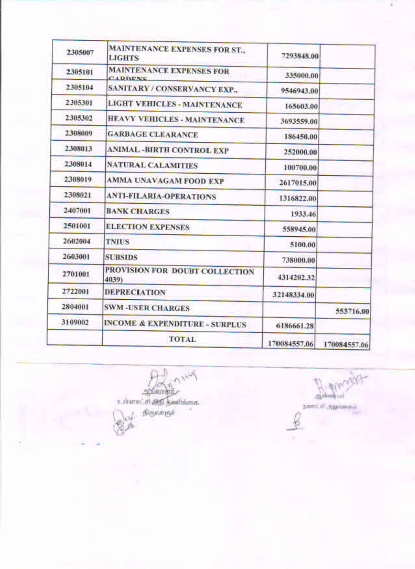| 2305007 | <b>MAINTENANCE EXPENSES FOR ST.,</b><br><b>LIGHTS</b> | 7293848.00   |              |
|---------|-------------------------------------------------------|--------------|--------------|
| 2305101 | <b>MAINTENANCE EXPENSES FOR</b><br>CADDENC            | 335000.00    |              |
| 2305104 | <b>SANITARY / CONSERVANCY EXP.,</b>                   | 9546943.00   |              |
| 2305301 | <b>LIGHT VEHICLES - MAINTENANCE</b>                   | 165603.00    |              |
| 2305302 | <b>HEAVY VEHICLES - MAINTENANCE</b>                   | 3693559.00   |              |
| 2308009 | <b>GARBAGE CLEARANCE</b>                              | 186450.00    |              |
| 2308013 | <b>ANIMAL - BIRTH CONTROL EXP</b>                     | 252000.00    |              |
| 2308014 | <b>NATURAL CALAMITIES</b>                             | 100700.00    |              |
| 2308019 | AMMA UNAVAGAM FOOD EXP                                | 2617015.00   |              |
| 2308021 | <b>ANTI-FILARIA-OPERATIONS</b>                        | 1316822.00   |              |
| 2407001 | <b>BANK CHARGES</b>                                   | 1933.46      |              |
| 2501001 | <b>ELECTION EXPENSES</b>                              | 558945.00    |              |
| 2602004 | <b>TNIUS</b>                                          | 5100.00      |              |
| 2603001 | <b>SUBSIDS</b>                                        | 738000.00    |              |
| 2701001 | PROVISION FOR DOUBT COLLECTION<br>4039)               | 4314202.32   |              |
| 2722001 | <b>DEPRECIATION</b>                                   | 32148334.00  |              |
| 2804001 | <b>SWM-USER CHARGES</b>                               |              | 553716.00    |
| 3109002 | <b>INCOME &amp; EXPENDITURE - SURPLUS</b>             | 6186661.28   |              |
|         | <b>TOTAL</b>                                          | 170084557.06 | 170084557.06 |

**CANNA** A

Barbara

дини, от друговолох

¢

iz.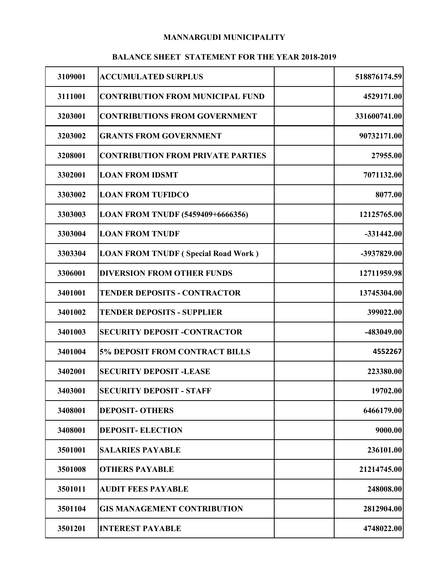### MANNARGUDI MUNICIPALITY

## BALANCE SHEET STATEMENT FOR THE YEAR 2018-2019

|         | <b>BALANCE SHEET STATEMENT FOR THE YEAR 2018-2019</b> |              |
|---------|-------------------------------------------------------|--------------|
| 3109001 | <b>ACCUMULATED SURPLUS</b>                            | 518876174.59 |
| 3111001 | <b>CONTRIBUTION FROM MUNICIPAL FUND</b>               | 4529171.00   |
| 3203001 | <b>CONTRIBUTIONS FROM GOVERNMENT</b>                  | 331600741.00 |
| 3203002 | <b>GRANTS FROM GOVERNMENT</b>                         | 90732171.00  |
| 3208001 | <b>CONTRIBUTION FROM PRIVATE PARTIES</b>              | 27955.00     |
| 3302001 | <b>LOAN FROM IDSMT</b>                                | 7071132.00   |
| 3303002 | <b>LOAN FROM TUFIDCO</b>                              | 8077.00      |
| 3303003 | LOAN FROM TNUDF (5459409+6666356)                     | 12125765.00  |
| 3303004 | <b>LOAN FROM TNUDF</b>                                | $-331442.00$ |
| 3303304 | <b>LOAN FROM TNUDF (Special Road Work)</b>            | -3937829.00  |
| 3306001 | <b>DIVERSION FROM OTHER FUNDS</b>                     | 12711959.98  |
| 3401001 | <b>TENDER DEPOSITS - CONTRACTOR</b>                   | 13745304.00  |
| 3401002 | <b>TENDER DEPOSITS - SUPPLIER</b>                     | 399022.00    |
| 3401003 | <b>SECURITY DEPOSIT -CONTRACTOR</b>                   | -483049.00   |
| 3401004 | <b>5% DEPOSIT FROM CONTRACT BILLS</b>                 | 4552267      |
| 3402001 | <b>SECURITY DEPOSIT -LEASE</b>                        | 223380.00    |
| 3403001 | <b>SECURITY DEPOSIT - STAFF</b>                       | 19702.00     |
| 3408001 | <b>DEPOSIT- OTHERS</b>                                | 6466179.00   |
| 3408001 | <b>DEPOSIT-ELECTION</b>                               | 9000.00      |
| 3501001 | <b>SALARIES PAYABLE</b>                               | 236101.00    |
| 3501008 | <b>OTHERS PAYABLE</b>                                 | 21214745.00  |
| 3501011 | <b>AUDIT FEES PAYABLE</b>                             | 248008.00    |
| 3501104 | <b>GIS MANAGEMENT CONTRIBUTION</b>                    | 2812904.00   |
| 3501201 | <b>INTEREST PAYABLE</b>                               | 4748022.00   |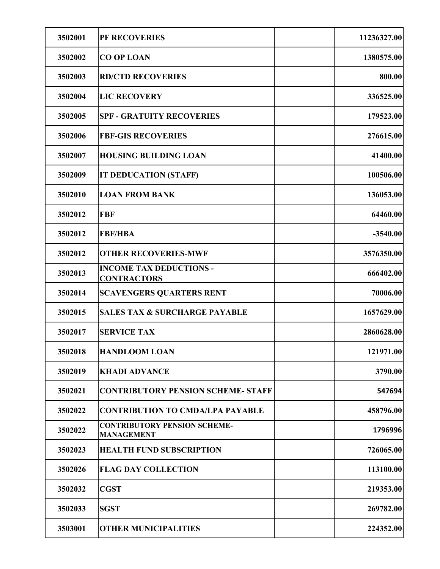| 3502001 | PF RECOVERIES                                            | 11236327.00 |
|---------|----------------------------------------------------------|-------------|
| 3502002 | <b>CO OP LOAN</b>                                        | 1380575.00  |
| 3502003 | <b>RD/CTD RECOVERIES</b>                                 | 800.00      |
| 3502004 | <b>LIC RECOVERY</b>                                      | 336525.00   |
| 3502005 | <b>SPF - GRATUITY RECOVERIES</b>                         | 179523.00   |
| 3502006 | <b>FBF-GIS RECOVERIES</b>                                | 276615.00   |
| 3502007 | <b>HOUSING BUILDING LOAN</b>                             | 41400.00    |
| 3502009 | <b>IT DEDUCATION (STAFF)</b>                             | 100506.00   |
| 3502010 | <b>LOAN FROM BANK</b>                                    | 136053.00   |
| 3502012 | <b>FBF</b>                                               | 64460.00    |
| 3502012 | <b>FBF/HBA</b>                                           | $-3540.00$  |
| 3502012 | <b>OTHER RECOVERIES-MWF</b>                              | 3576350.00  |
| 3502013 | <b>INCOME TAX DEDUCTIONS -</b><br><b>CONTRACTORS</b>     | 666402.00   |
| 3502014 | <b>SCAVENGERS QUARTERS RENT</b>                          | 70006.00    |
| 3502015 | <b>SALES TAX &amp; SURCHARGE PAYABLE</b>                 | 1657629.00  |
| 3502017 | <b>SERVICE TAX</b>                                       | 2860628.00  |
| 3502018 | <b>HANDLOOM LOAN</b>                                     | 121971.00   |
| 3502019 | <b>KHADI ADVANCE</b>                                     | 3790.00     |
| 3502021 | <b>CONTRIBUTORY PENSION SCHEME- STAFF</b>                | 547694      |
| 3502022 | <b>CONTRIBUTION TO CMDA/LPA PAYABLE</b>                  | 458796.00   |
| 3502022 | <b>CONTRIBUTORY PENSION SCHEME-</b><br><b>MANAGEMENT</b> | 1796996     |
| 3502023 | <b>HEALTH FUND SUBSCRIPTION</b>                          | 726065.00   |
| 3502026 | <b>FLAG DAY COLLECTION</b>                               | 113100.00   |
| 3502032 | <b>CGST</b>                                              | 219353.00   |
| 3502033 | <b>SGST</b>                                              | 269782.00   |
| 3503001 | <b>OTHER MUNICIPALITIES</b>                              | 224352.00   |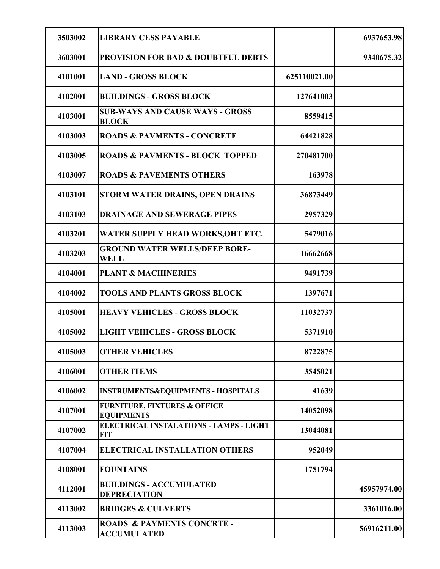| 3503002 | <b>LIBRARY CESS PAYABLE</b>                                  |              | 6937653.98  |
|---------|--------------------------------------------------------------|--------------|-------------|
| 3603001 | <b>PROVISION FOR BAD &amp; DOUBTFUL DEBTS</b>                |              | 9340675.32  |
| 4101001 | <b>LAND - GROSS BLOCK</b>                                    | 625110021.00 |             |
| 4102001 | <b>BUILDINGS - GROSS BLOCK</b>                               | 127641003    |             |
| 4103001 | <b>SUB-WAYS AND CAUSE WAYS - GROSS</b><br><b>BLOCK</b>       | 8559415      |             |
| 4103003 | <b>ROADS &amp; PAVMENTS - CONCRETE</b>                       | 64421828     |             |
| 4103005 | <b>ROADS &amp; PAVMENTS - BLOCK TOPPED</b>                   | 270481700    |             |
| 4103007 | <b>ROADS &amp; PAVEMENTS OTHERS</b>                          | 163978       |             |
| 4103101 | STORM WATER DRAINS, OPEN DRAINS                              | 36873449     |             |
| 4103103 | <b>DRAINAGE AND SEWERAGE PIPES</b>                           | 2957329      |             |
| 4103201 | WATER SUPPLY HEAD WORKS, OHT ETC.                            | 5479016      |             |
| 4103203 | <b>GROUND WATER WELLS/DEEP BORE-</b><br><b>WELL</b>          | 16662668     |             |
| 4104001 | <b>PLANT &amp; MACHINERIES</b>                               | 9491739      |             |
| 4104002 | <b>TOOLS AND PLANTS GROSS BLOCK</b>                          | 1397671      |             |
| 4105001 | <b>HEAVY VEHICLES - GROSS BLOCK</b>                          | 11032737     |             |
| 4105002 | <b>LIGHT VEHICLES - GROSS BLOCK</b>                          | 5371910      |             |
| 4105003 | <b>OTHER VEHICLES</b>                                        | 8722875      |             |
| 4106001 | <b>OTHER ITEMS</b>                                           | 3545021      |             |
| 4106002 | <b>INSTRUMENTS&amp;EQUIPMENTS - HOSPITALS</b>                | 41639        |             |
| 4107001 | <b>FURNITURE, FIXTURES &amp; OFFICE</b><br><b>EQUIPMENTS</b> | 14052098     |             |
| 4107002 | <b>ELECTRICAL INSTALATIONS - LAMPS - LIGHT</b><br><b>FIT</b> | 13044081     |             |
| 4107004 | <b>ELECTRICAL INSTALLATION OTHERS</b>                        | 952049       |             |
| 4108001 | <b>FOUNTAINS</b>                                             | 1751794      |             |
| 4112001 | <b>BUILDINGS - ACCUMULATED</b><br><b>DEPRECIATION</b>        |              | 45957974.00 |
| 4113002 | <b>BRIDGES &amp; CULVERTS</b>                                |              | 3361016.00  |
| 4113003 | <b>ROADS &amp; PAYMENTS CONCRTE -</b><br><b>ACCUMULATED</b>  |              | 56916211.00 |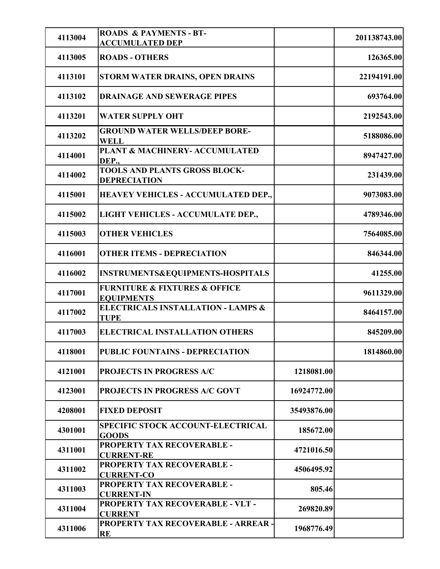|         | <b>ROADS &amp; PAYMENTS - BT-</b>                                 |             |              |
|---------|-------------------------------------------------------------------|-------------|--------------|
| 4113004 | <b>ACCUMULATED DEP</b>                                            |             | 201138743.00 |
| 4113005 | <b>ROADS - OTHERS</b>                                             |             | 126365.00    |
| 4113101 | STORM WATER DRAINS, OPEN DRAINS                                   |             | 22194191.00  |
| 4113102 | <b>DRAINAGE AND SEWERAGE PIPES</b>                                |             | 693764.00    |
| 4113201 | <b>WATER SUPPLY OHT</b>                                           |             | 2192543.00   |
| 4113202 | <b>GROUND WATER WELLS/DEEP BORE-</b><br><b>WELL</b>               |             | 5188086.00   |
| 4114001 | PLANT & MACHINERY- ACCUMULATED<br>DEP.,                           |             | 8947427.00   |
| 4114002 | <b>TOOLS AND PLANTS GROSS BLOCK-</b><br><b>DEPRECIATION</b>       |             | 231439.00    |
| 4115001 | <b>HEAVEY VEHICLES - ACCUMULATED DEP.,</b>                        |             | 9073083.00   |
| 4115002 | LIGHT VEHICLES - ACCUMULATE DEP.,                                 |             | 4789346.00   |
| 4115003 | <b>OTHER VEHICLES</b>                                             |             | 7564085.00   |
| 4116001 | <b>OTHER ITEMS - DEPRECIATION</b>                                 |             | 846344.00    |
| 4116002 | INSTRUMENTS&EQUIPMENTS-HOSPITALS                                  |             | 41255.00     |
| 4117001 | <b>FURNITURE &amp; FIXTURES &amp; OFFICE</b><br><b>EQUIPMENTS</b> |             | 9611329.00   |
| 4117002 | <b>ELECTRICALS INSTALLATION - LAMPS &amp;</b><br><b>TUPE</b>      |             | 8464157.00   |
| 4117003 | <b>ELECTRICAL INSTALLATION OTHERS</b>                             |             | 845209.00    |
| 4118001 | PUBLIC FOUNTAINS - DEPRECIATION                                   |             | 1814860.00   |
| 4121001 | PROJECTS IN PROGRESS A/C                                          | 1218081.00  |              |
| 4123001 | PROJECTS IN PROGRESS A/C GOVT                                     | 16924772.00 |              |
| 4208001 | <b>FIXED DEPOSIT</b>                                              | 35493876.00 |              |
| 4301001 | <b>SPECIFIC STOCK ACCOUNT-ELECTRICAL</b><br><b>GOODS</b>          | 185672.00   |              |
| 4311001 | PROPERTY TAX RECOVERABLE -<br><b>CURRENT-RE</b>                   | 4721016.50  |              |
| 4311002 | PROPERTY TAX RECOVERABLE -<br><b>CURRENT-CO</b>                   | 4506495.92  |              |
| 4311003 | PROPERTY TAX RECOVERABLE -<br><b>CURRENT-IN</b>                   | 805.46      |              |
| 4311004 | PROPERTY TAX RECOVERABLE - VLT -<br><b>CURRENT</b>                | 269820.89   |              |
| 4311006 | PROPERTY TAX RECOVERABLE - ARREAR -<br>RE                         | 1968776.49  |              |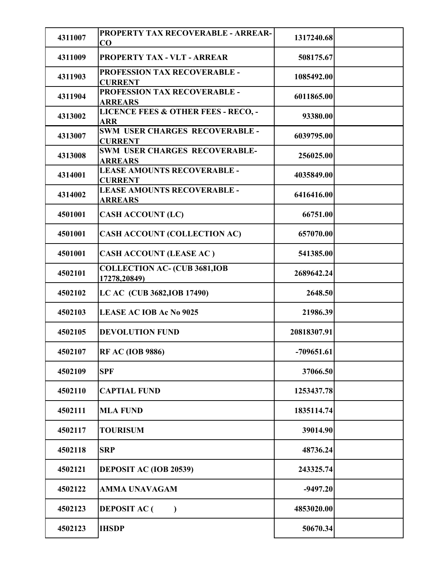|         | PROPERTY TAX RECOVERABLE - ARREAR-                                 |              |  |
|---------|--------------------------------------------------------------------|--------------|--|
| 4311007 | CO                                                                 | 1317240.68   |  |
| 4311009 | <b>PROPERTY TAX - VLT - ARREAR</b><br>PROFESSION TAX RECOVERABLE - | 508175.67    |  |
| 4311903 | <b>CURRENT</b>                                                     | 1085492.00   |  |
| 4311904 | PROFESSION TAX RECOVERABLE -<br><b>ARREARS</b>                     | 6011865.00   |  |
| 4313002 | <b>LICENCE FEES &amp; OTHER FEES - RECO, -</b><br><b>ARR</b>       | 93380.00     |  |
| 4313007 | SWM USER CHARGES RECOVERABLE -<br><b>CURRENT</b>                   | 6039795.00   |  |
| 4313008 | SWM USER CHARGES RECOVERABLE-<br><b>ARREARS</b>                    | 256025.00    |  |
| 4314001 | <b>LEASE AMOUNTS RECOVERABLE -</b><br><b>CURRENT</b>               | 4035849.00   |  |
| 4314002 | LEASE AMOUNTS RECOVERABLE -<br><b>ARREARS</b>                      | 6416416.00   |  |
| 4501001 | <b>CASH ACCOUNT (LC)</b>                                           | 66751.00     |  |
| 4501001 | <b>CASH ACCOUNT (COLLECTION AC)</b>                                | 657070.00    |  |
| 4501001 | CASH ACCOUNT (LEASE AC)                                            | 541385.00    |  |
| 4502101 | <b>COLLECTION AC- (CUB 3681, IOB</b><br>17278,20849)               | 2689642.24   |  |
| 4502102 | LC AC (CUB 3682, IOB 17490)                                        | 2648.50      |  |
| 4502103 | <b>LEASE AC IOB Ac No 9025</b>                                     | 21986.39     |  |
| 4502105 | <b>DEVOLUTION FUND</b>                                             | 20818307.91  |  |
| 4502107 | <b>RF AC (IOB 9886)</b>                                            | $-709651.61$ |  |
| 4502109 | <b>SPF</b>                                                         | 37066.50     |  |
| 4502110 | <b>CAPTIAL FUND</b>                                                | 1253437.78   |  |
| 4502111 | <b>MLA FUND</b>                                                    | 1835114.74   |  |
| 4502117 | <b>TOURISUM</b>                                                    | 39014.90     |  |
| 4502118 | <b>SRP</b>                                                         | 48736.24     |  |
| 4502121 | <b>DEPOSIT AC (IOB 20539)</b>                                      | 243325.74    |  |
| 4502122 | <b>AMMA UNAVAGAM</b>                                               | $-9497.20$   |  |
| 4502123 | <b>DEPOSIT AC (</b><br>$\mathcal{L}$                               | 4853020.00   |  |
| 4502123 | <b>IHSDP</b>                                                       | 50670.34     |  |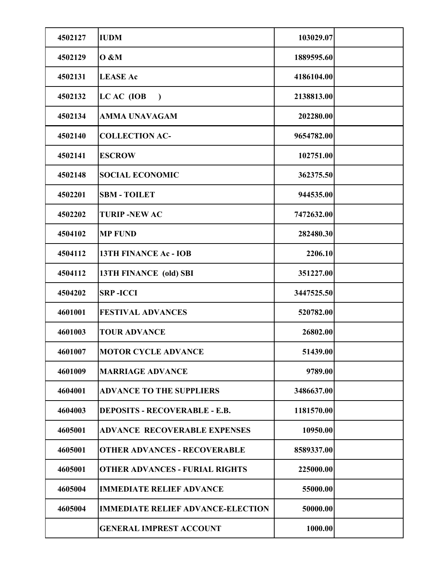| 4502127 | <b>IUDM</b>                              | 103029.07  |  |
|---------|------------------------------------------|------------|--|
| 4502129 | <b>O &amp;M</b>                          | 1889595.60 |  |
| 4502131 | <b>LEASE Ac</b>                          | 4186104.00 |  |
| 4502132 | LC AC (IOB<br>$\mathcal{L}$              | 2138813.00 |  |
| 4502134 | <b>AMMA UNAVAGAM</b>                     | 202280.00  |  |
| 4502140 | <b>COLLECTION AC-</b>                    | 9654782.00 |  |
| 4502141 | <b>ESCROW</b>                            | 102751.00  |  |
| 4502148 | <b>SOCIAL ECONOMIC</b>                   | 362375.50  |  |
| 4502201 | <b>SBM - TOILET</b>                      | 944535.00  |  |
| 4502202 | <b>TURIP-NEW AC</b>                      | 7472632.00 |  |
| 4504102 | <b>MP FUND</b>                           | 282480.30  |  |
| 4504112 | <b>13TH FINANCE Ac - IOB</b>             | 2206.10    |  |
| 4504112 | 13TH FINANCE (old) SBI                   | 351227.00  |  |
| 4504202 | <b>SRP-ICCI</b>                          | 3447525.50 |  |
| 4601001 | <b>FESTIVAL ADVANCES</b>                 | 520782.00  |  |
| 4601003 | <b>TOUR ADVANCE</b>                      | 26802.00   |  |
| 4601007 | <b>MOTOR CYCLE ADVANCE</b>               | 51439.00   |  |
| 4601009 | <b>MARRIAGE ADVANCE</b>                  | 9789.00    |  |
| 4604001 | <b>ADVANCE TO THE SUPPLIERS</b>          | 3486637.00 |  |
| 4604003 | <b>DEPOSITS - RECOVERABLE - E.B.</b>     | 1181570.00 |  |
| 4605001 | <b>ADVANCE RECOVERABLE EXPENSES</b>      | 10950.00   |  |
| 4605001 | <b>OTHER ADVANCES - RECOVERABLE</b>      | 8589337.00 |  |
| 4605001 | <b>OTHER ADVANCES - FURIAL RIGHTS</b>    | 225000.00  |  |
| 4605004 | <b>IMMEDIATE RELIEF ADVANCE</b>          | 55000.00   |  |
| 4605004 | <b>IMMEDIATE RELIEF ADVANCE-ELECTION</b> | 50000.00   |  |
|         | <b>GENERAL IMPREST ACCOUNT</b>           | 1000.00    |  |